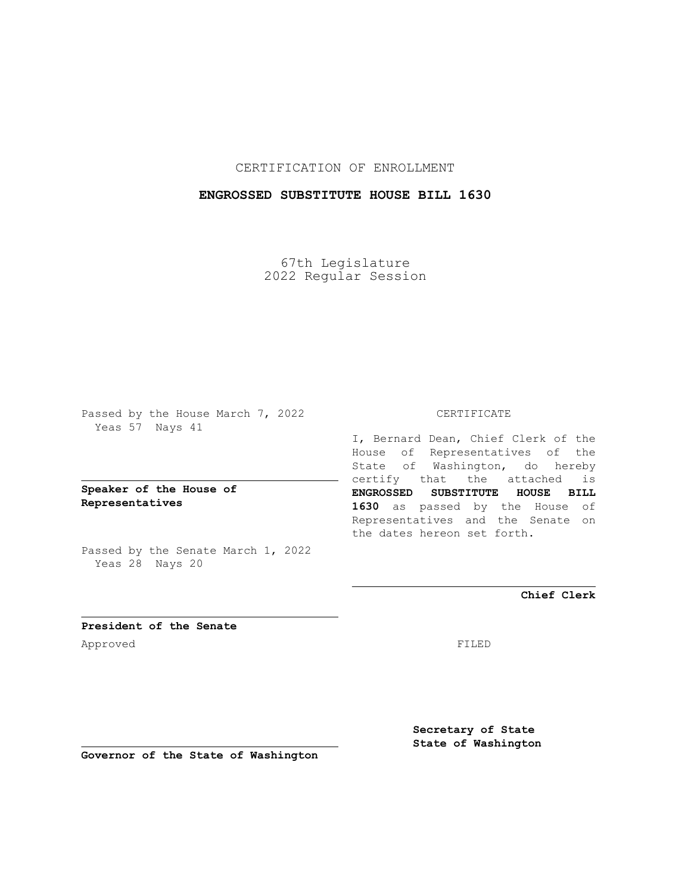CERTIFICATION OF ENROLLMENT

## **ENGROSSED SUBSTITUTE HOUSE BILL 1630**

67th Legislature 2022 Regular Session

Passed by the House March 7, 2022 Yeas 57 Nays 41

**Speaker of the House of Representatives**

Passed by the Senate March 1, 2022 Yeas 28 Nays 20

## CERTIFICATE

I, Bernard Dean, Chief Clerk of the House of Representatives of the State of Washington, do hereby certify that the attached is **ENGROSSED SUBSTITUTE HOUSE BILL 1630** as passed by the House of Representatives and the Senate on the dates hereon set forth.

**Chief Clerk**

**President of the Senate** Approved FILED

**Secretary of State State of Washington**

**Governor of the State of Washington**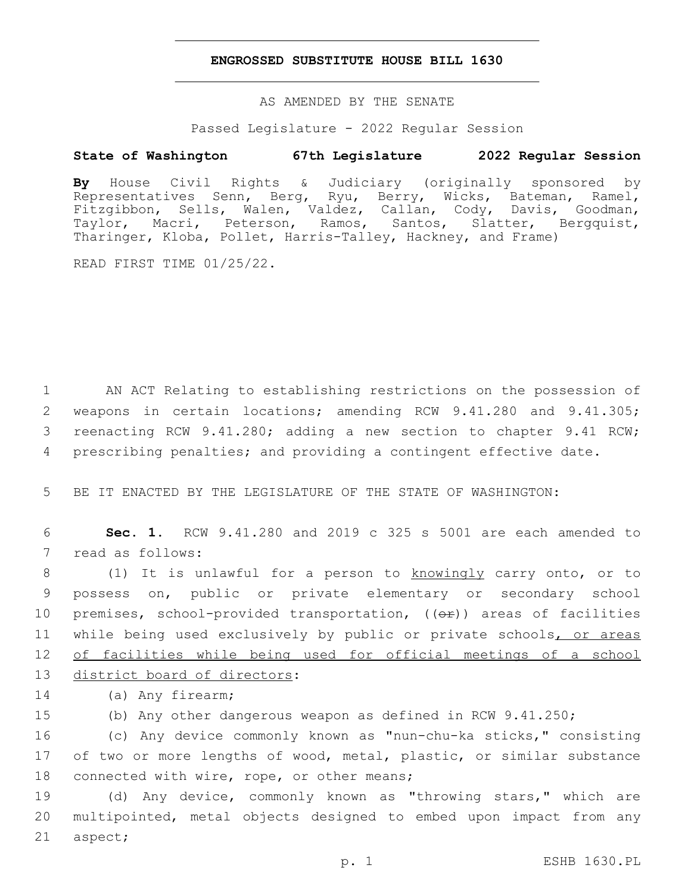## **ENGROSSED SUBSTITUTE HOUSE BILL 1630**

AS AMENDED BY THE SENATE

Passed Legislature - 2022 Regular Session

## **State of Washington 67th Legislature 2022 Regular Session**

**By** House Civil Rights & Judiciary (originally sponsored by Representatives Senn, Berg, Ryu, Berry, Wicks, Bateman, Ramel, Fitzgibbon, Sells, Walen, Valdez, Callan, Cody, Davis, Goodman, Taylor, Macri, Peterson, Ramos, Santos, Slatter, Bergquist, Tharinger, Kloba, Pollet, Harris-Talley, Hackney, and Frame)

READ FIRST TIME 01/25/22.

 AN ACT Relating to establishing restrictions on the possession of weapons in certain locations; amending RCW 9.41.280 and 9.41.305; reenacting RCW 9.41.280; adding a new section to chapter 9.41 RCW; prescribing penalties; and providing a contingent effective date.

5 BE IT ENACTED BY THE LEGISLATURE OF THE STATE OF WASHINGTON:

6 **Sec. 1.** RCW 9.41.280 and 2019 c 325 s 5001 are each amended to 7 read as follows:

8 (1) It is unlawful for a person to knowingly carry onto, or to 9 possess on, public or private elementary or secondary school 10 premises, school-provided transportation,  $((\theta \hat{r}))$  areas of facilities 11 while being used exclusively by public or private schools, or areas 12 of facilities while being used for official meetings of a school 13 district board of directors:

14 (a) Any firearm;

15 (b) Any other dangerous weapon as defined in RCW 9.41.250;

16 (c) Any device commonly known as "nun-chu-ka sticks," consisting 17 of two or more lengths of wood, metal, plastic, or similar substance 18 connected with wire, rope, or other means;

19 (d) Any device, commonly known as "throwing stars," which are 20 multipointed, metal objects designed to embed upon impact from any 21 aspect;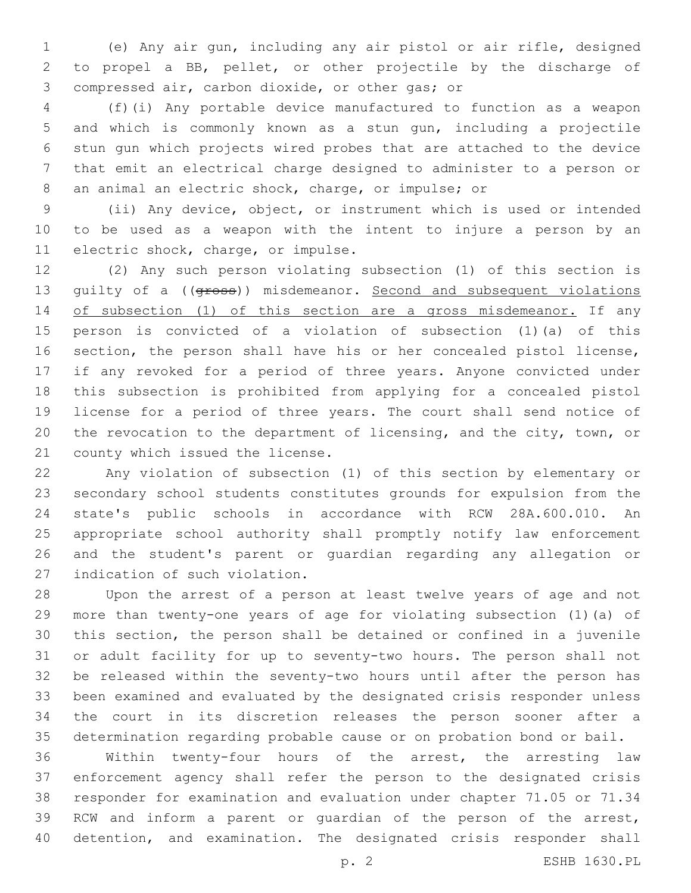(e) Any air gun, including any air pistol or air rifle, designed to propel a BB, pellet, or other projectile by the discharge of 3 compressed air, carbon dioxide, or other gas; or

 (f)(i) Any portable device manufactured to function as a weapon and which is commonly known as a stun gun, including a projectile stun gun which projects wired probes that are attached to the device that emit an electrical charge designed to administer to a person or an animal an electric shock, charge, or impulse; or

 (ii) Any device, object, or instrument which is used or intended to be used as a weapon with the intent to injure a person by an 11 electric shock, charge, or impulse.

 (2) Any such person violating subsection (1) of this section is 13 guilty of a ((gross)) misdemeanor. Second and subsequent violations 14 of subsection (1) of this section are a gross misdemeanor. If any person is convicted of a violation of subsection (1)(a) of this section, the person shall have his or her concealed pistol license, if any revoked for a period of three years. Anyone convicted under this subsection is prohibited from applying for a concealed pistol license for a period of three years. The court shall send notice of 20 the revocation to the department of licensing, and the city, town, or 21 county which issued the license.

 Any violation of subsection (1) of this section by elementary or secondary school students constitutes grounds for expulsion from the state's public schools in accordance with RCW 28A.600.010. An appropriate school authority shall promptly notify law enforcement and the student's parent or guardian regarding any allegation or 27 indication of such violation.

 Upon the arrest of a person at least twelve years of age and not more than twenty-one years of age for violating subsection (1)(a) of this section, the person shall be detained or confined in a juvenile or adult facility for up to seventy-two hours. The person shall not be released within the seventy-two hours until after the person has been examined and evaluated by the designated crisis responder unless the court in its discretion releases the person sooner after a determination regarding probable cause or on probation bond or bail.

 Within twenty-four hours of the arrest, the arresting law enforcement agency shall refer the person to the designated crisis responder for examination and evaluation under chapter 71.05 or 71.34 RCW and inform a parent or guardian of the person of the arrest, detention, and examination. The designated crisis responder shall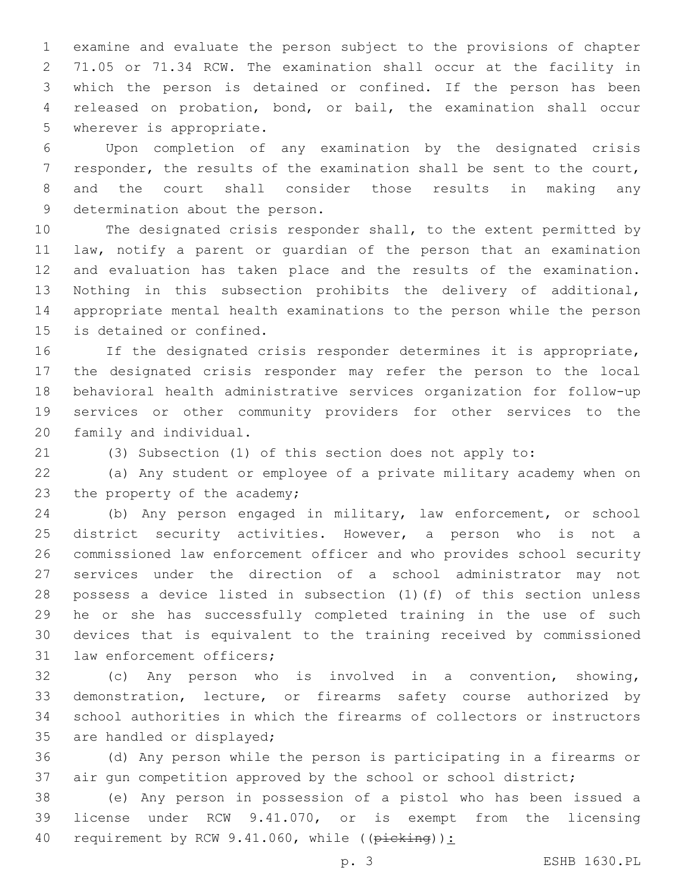examine and evaluate the person subject to the provisions of chapter 71.05 or 71.34 RCW. The examination shall occur at the facility in which the person is detained or confined. If the person has been released on probation, bond, or bail, the examination shall occur 5 wherever is appropriate.

 Upon completion of any examination by the designated crisis responder, the results of the examination shall be sent to the court, and the court shall consider those results in making any 9 determination about the person.

 The designated crisis responder shall, to the extent permitted by law, notify a parent or guardian of the person that an examination and evaluation has taken place and the results of the examination. Nothing in this subsection prohibits the delivery of additional, appropriate mental health examinations to the person while the person 15 is detained or confined.

 If the designated crisis responder determines it is appropriate, the designated crisis responder may refer the person to the local behavioral health administrative services organization for follow-up services or other community providers for other services to the 20 family and individual.

(3) Subsection (1) of this section does not apply to:

 (a) Any student or employee of a private military academy when on 23 the property of the academy;

 (b) Any person engaged in military, law enforcement, or school district security activities. However, a person who is not a commissioned law enforcement officer and who provides school security services under the direction of a school administrator may not possess a device listed in subsection (1)(f) of this section unless he or she has successfully completed training in the use of such devices that is equivalent to the training received by commissioned 31 law enforcement officers;

 (c) Any person who is involved in a convention, showing, demonstration, lecture, or firearms safety course authorized by school authorities in which the firearms of collectors or instructors 35 are handled or displayed;

 (d) Any person while the person is participating in a firearms or air gun competition approved by the school or school district;

 (e) Any person in possession of a pistol who has been issued a license under RCW 9.41.070, or is exempt from the licensing 40 requirement by RCW 9.41.060, while ((picking)):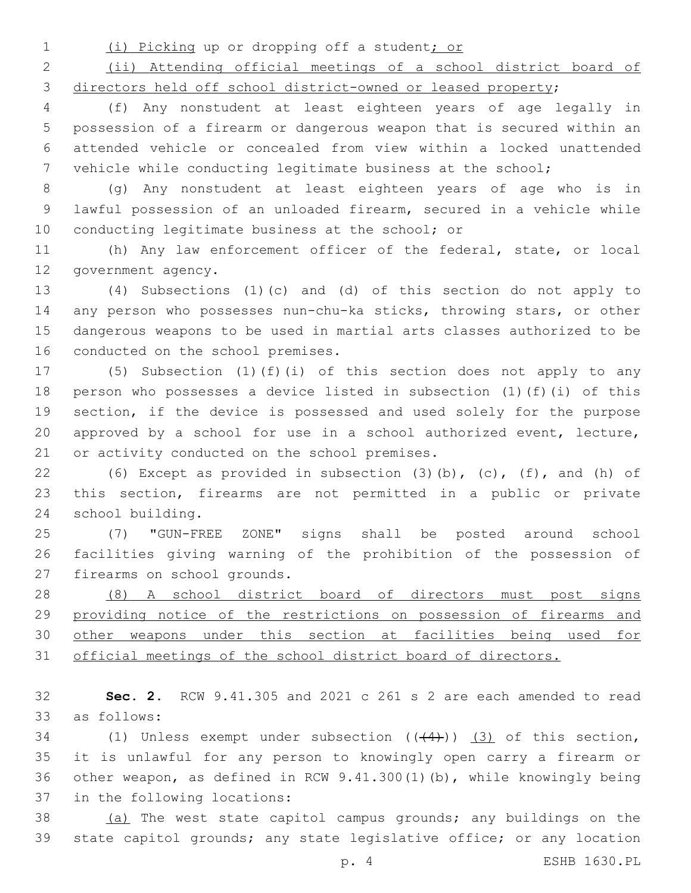(i) Picking up or dropping off a student; or

 (ii) Attending official meetings of a school district board of directors held off school district-owned or leased property;

 (f) Any nonstudent at least eighteen years of age legally in possession of a firearm or dangerous weapon that is secured within an attended vehicle or concealed from view within a locked unattended vehicle while conducting legitimate business at the school;

 (g) Any nonstudent at least eighteen years of age who is in lawful possession of an unloaded firearm, secured in a vehicle while 10 conducting legitimate business at the school; or

 (h) Any law enforcement officer of the federal, state, or local 12 government agency.

 (4) Subsections (1)(c) and (d) of this section do not apply to any person who possesses nun-chu-ka sticks, throwing stars, or other dangerous weapons to be used in martial arts classes authorized to be 16 conducted on the school premises.

 (5) Subsection (1)(f)(i) of this section does not apply to any person who possesses a device listed in subsection (1)(f)(i) of this section, if the device is possessed and used solely for the purpose approved by a school for use in a school authorized event, lecture, 21 or activity conducted on the school premises.

 (6) Except as provided in subsection (3)(b), (c), (f), and (h) of this section, firearms are not permitted in a public or private 24 school building.

 (7) "GUN-FREE ZONE" signs shall be posted around school facilities giving warning of the prohibition of the possession of 27 firearms on school grounds.

 (8) A school district board of directors must post signs providing notice of the restrictions on possession of firearms and other weapons under this section at facilities being used for official meetings of the school district board of directors.

 **Sec. 2.** RCW 9.41.305 and 2021 c 261 s 2 are each amended to read as follows:33

34 (1) Unless exempt under subsection  $((+4))$  (3) of this section, it is unlawful for any person to knowingly open carry a firearm or other weapon, as defined in RCW 9.41.300(1)(b), while knowingly being 37 in the following locations:

 (a) The west state capitol campus grounds; any buildings on the state capitol grounds; any state legislative office; or any location

p. 4 ESHB 1630.PL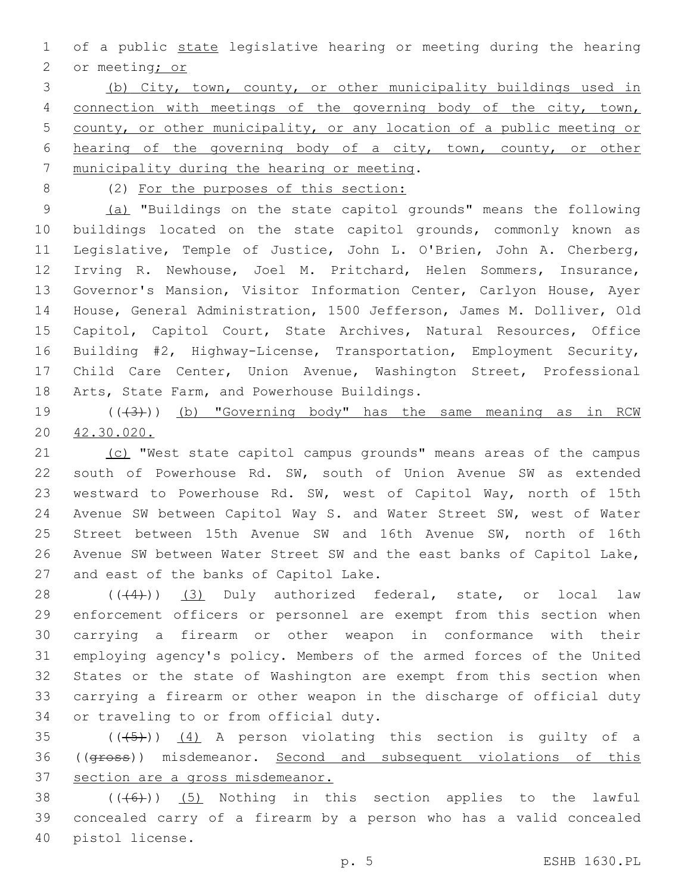of a public state legislative hearing or meeting during the hearing 2 or meeting; or

 (b) City, town, county, or other municipality buildings used in 4 connection with meetings of the governing body of the city, town, county, or other municipality, or any location of a public meeting or hearing of the governing body of a city, town, county, or other 7 municipality during the hearing or meeting.

(2) For the purposes of this section:

 (a) "Buildings on the state capitol grounds" means the following buildings located on the state capitol grounds, commonly known as Legislative, Temple of Justice, John L. O'Brien, John A. Cherberg, Irving R. Newhouse, Joel M. Pritchard, Helen Sommers, Insurance, Governor's Mansion, Visitor Information Center, Carlyon House, Ayer House, General Administration, 1500 Jefferson, James M. Dolliver, Old Capitol, Capitol Court, State Archives, Natural Resources, Office Building #2, Highway-License, Transportation, Employment Security, Child Care Center, Union Avenue, Washington Street, Professional 18 Arts, State Farm, and Powerhouse Buildings.

19  $((+3+))$  (b) "Governing body" has the same meaning as in RCW 42.30.020.

21 (c) "West state capitol campus grounds" means areas of the campus south of Powerhouse Rd. SW, south of Union Avenue SW as extended westward to Powerhouse Rd. SW, west of Capitol Way, north of 15th Avenue SW between Capitol Way S. and Water Street SW, west of Water Street between 15th Avenue SW and 16th Avenue SW, north of 16th Avenue SW between Water Street SW and the east banks of Capitol Lake, 27 and east of the banks of Capitol Lake.

28 (((4))) (3) Duly authorized federal, state, or local law enforcement officers or personnel are exempt from this section when carrying a firearm or other weapon in conformance with their employing agency's policy. Members of the armed forces of the United States or the state of Washington are exempt from this section when carrying a firearm or other weapon in the discharge of official duty 34 or traveling to or from official duty.

35  $((+5+))$   $(4)$  A person violating this section is quilty of a 36 ((gross)) misdemeanor. Second and subsequent violations of this 37 section are a gross misdemeanor.

 (( $(46)$ )) (5) Nothing in this section applies to the lawful concealed carry of a firearm by a person who has a valid concealed 40 pistol license.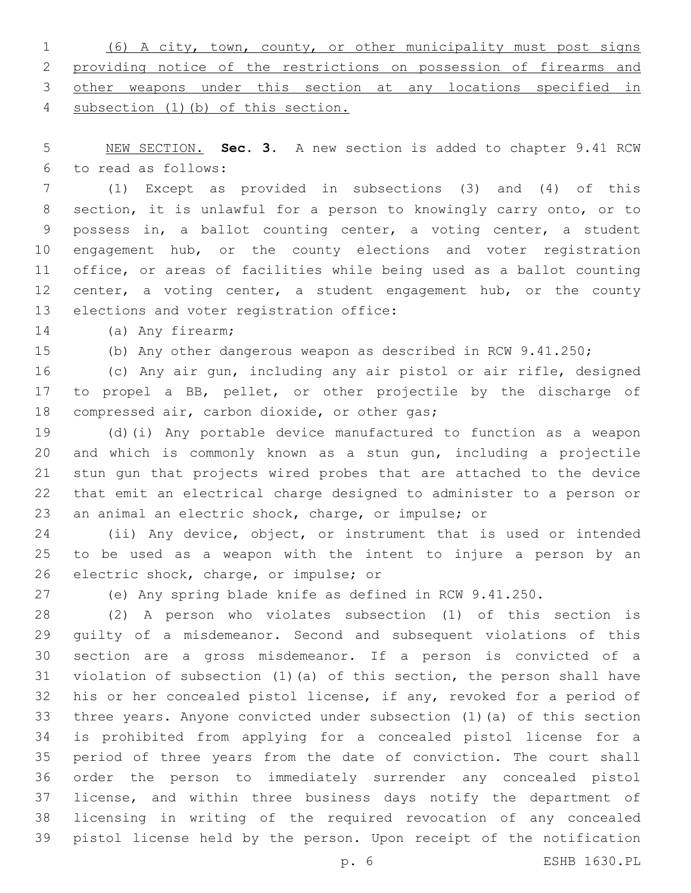(6) A city, town, county, or other municipality must post signs providing notice of the restrictions on possession of firearms and other weapons under this section at any locations specified in subsection (1)(b) of this section.

 NEW SECTION. **Sec. 3.** A new section is added to chapter 9.41 RCW to read as follows:6

 (1) Except as provided in subsections (3) and (4) of this section, it is unlawful for a person to knowingly carry onto, or to possess in, a ballot counting center, a voting center, a student 10 engagement hub, or the county elections and voter registration office, or areas of facilities while being used as a ballot counting 12 center, a voting center, a student engagement hub, or the county 13 elections and voter registration office:

14 (a) Any firearm;

(b) Any other dangerous weapon as described in RCW 9.41.250;

 (c) Any air gun, including any air pistol or air rifle, designed to propel a BB, pellet, or other projectile by the discharge of 18 compressed air, carbon dioxide, or other gas;

 (d)(i) Any portable device manufactured to function as a weapon and which is commonly known as a stun gun, including a projectile stun gun that projects wired probes that are attached to the device that emit an electrical charge designed to administer to a person or an animal an electric shock, charge, or impulse; or

 (ii) Any device, object, or instrument that is used or intended to be used as a weapon with the intent to injure a person by an 26 electric shock, charge, or impulse; or

(e) Any spring blade knife as defined in RCW 9.41.250.

 (2) A person who violates subsection (1) of this section is guilty of a misdemeanor. Second and subsequent violations of this section are a gross misdemeanor. If a person is convicted of a violation of subsection (1)(a) of this section, the person shall have his or her concealed pistol license, if any, revoked for a period of three years. Anyone convicted under subsection (1)(a) of this section is prohibited from applying for a concealed pistol license for a period of three years from the date of conviction. The court shall order the person to immediately surrender any concealed pistol license, and within three business days notify the department of licensing in writing of the required revocation of any concealed pistol license held by the person. Upon receipt of the notification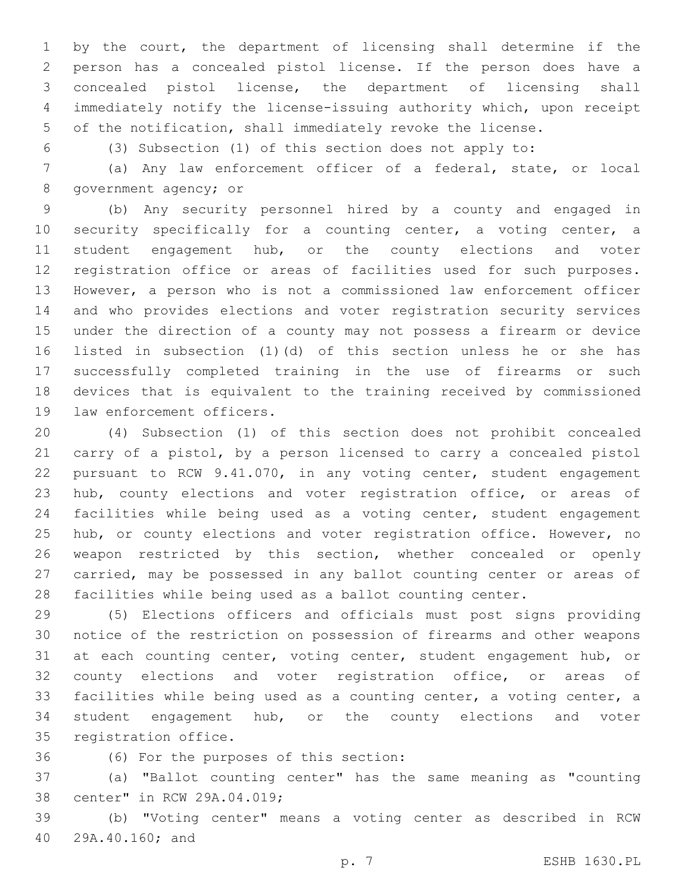by the court, the department of licensing shall determine if the person has a concealed pistol license. If the person does have a concealed pistol license, the department of licensing shall immediately notify the license-issuing authority which, upon receipt of the notification, shall immediately revoke the license.

(3) Subsection (1) of this section does not apply to:

 (a) Any law enforcement officer of a federal, state, or local 8 government agency; or

 (b) Any security personnel hired by a county and engaged in security specifically for a counting center, a voting center, a student engagement hub, or the county elections and voter registration office or areas of facilities used for such purposes. However, a person who is not a commissioned law enforcement officer and who provides elections and voter registration security services under the direction of a county may not possess a firearm or device listed in subsection (1)(d) of this section unless he or she has successfully completed training in the use of firearms or such devices that is equivalent to the training received by commissioned 19 law enforcement officers.

 (4) Subsection (1) of this section does not prohibit concealed carry of a pistol, by a person licensed to carry a concealed pistol pursuant to RCW 9.41.070, in any voting center, student engagement hub, county elections and voter registration office, or areas of facilities while being used as a voting center, student engagement 25 hub, or county elections and voter registration office. However, no weapon restricted by this section, whether concealed or openly carried, may be possessed in any ballot counting center or areas of facilities while being used as a ballot counting center.

 (5) Elections officers and officials must post signs providing notice of the restriction on possession of firearms and other weapons 31 at each counting center, voting center, student engagement hub, or 32 county elections and voter registration office, or areas of facilities while being used as a counting center, a voting center, a student engagement hub, or the county elections and voter 35 registration office.

(6) For the purposes of this section:36

 (a) "Ballot counting center" has the same meaning as "counting 38 center" in RCW 29A.04.019;

 (b) "Voting center" means a voting center as described in RCW 29A.40.160; and40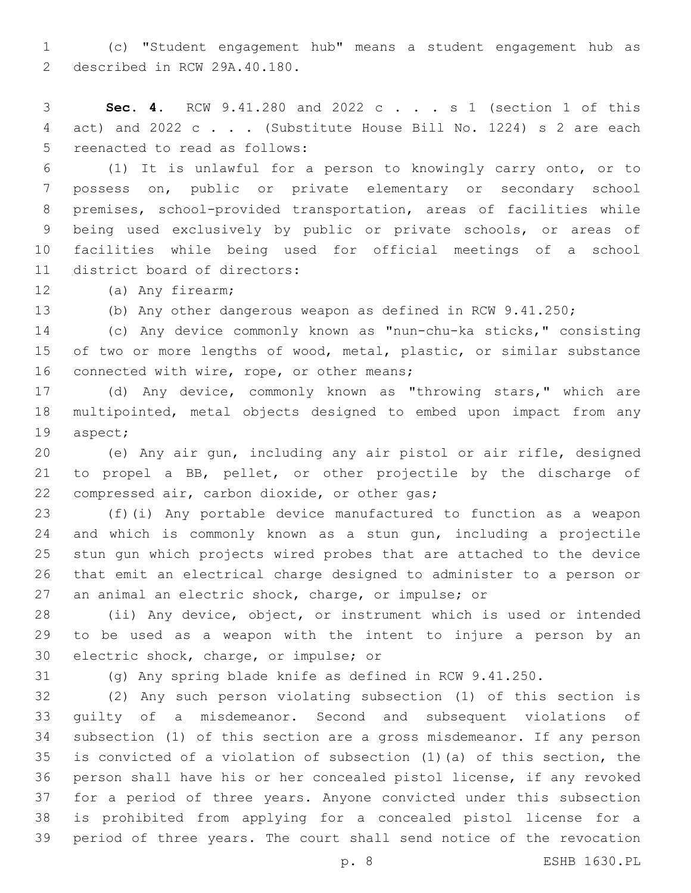(c) "Student engagement hub" means a student engagement hub as 2 described in RCW 29A.40.180.

 **Sec. 4.** RCW 9.41.280 and 2022 c . . . s 1 (section 1 of this act) and 2022 c . . . (Substitute House Bill No. 1224) s 2 are each 5 reenacted to read as follows:

 (1) It is unlawful for a person to knowingly carry onto, or to possess on, public or private elementary or secondary school premises, school-provided transportation, areas of facilities while being used exclusively by public or private schools, or areas of facilities while being used for official meetings of a school 11 district board of directors:

12 (a) Any firearm;

(b) Any other dangerous weapon as defined in RCW 9.41.250;

 (c) Any device commonly known as "nun-chu-ka sticks," consisting of two or more lengths of wood, metal, plastic, or similar substance 16 connected with wire, rope, or other means;

 (d) Any device, commonly known as "throwing stars," which are multipointed, metal objects designed to embed upon impact from any 19 aspect;

 (e) Any air gun, including any air pistol or air rifle, designed to propel a BB, pellet, or other projectile by the discharge of 22 compressed air, carbon dioxide, or other gas;

 (f)(i) Any portable device manufactured to function as a weapon and which is commonly known as a stun gun, including a projectile stun gun which projects wired probes that are attached to the device that emit an electrical charge designed to administer to a person or an animal an electric shock, charge, or impulse; or

 (ii) Any device, object, or instrument which is used or intended to be used as a weapon with the intent to injure a person by an 30 electric shock, charge, or impulse; or

(g) Any spring blade knife as defined in RCW 9.41.250.

 (2) Any such person violating subsection (1) of this section is guilty of a misdemeanor. Second and subsequent violations of subsection (1) of this section are a gross misdemeanor. If any person is convicted of a violation of subsection (1)(a) of this section, the person shall have his or her concealed pistol license, if any revoked for a period of three years. Anyone convicted under this subsection is prohibited from applying for a concealed pistol license for a period of three years. The court shall send notice of the revocation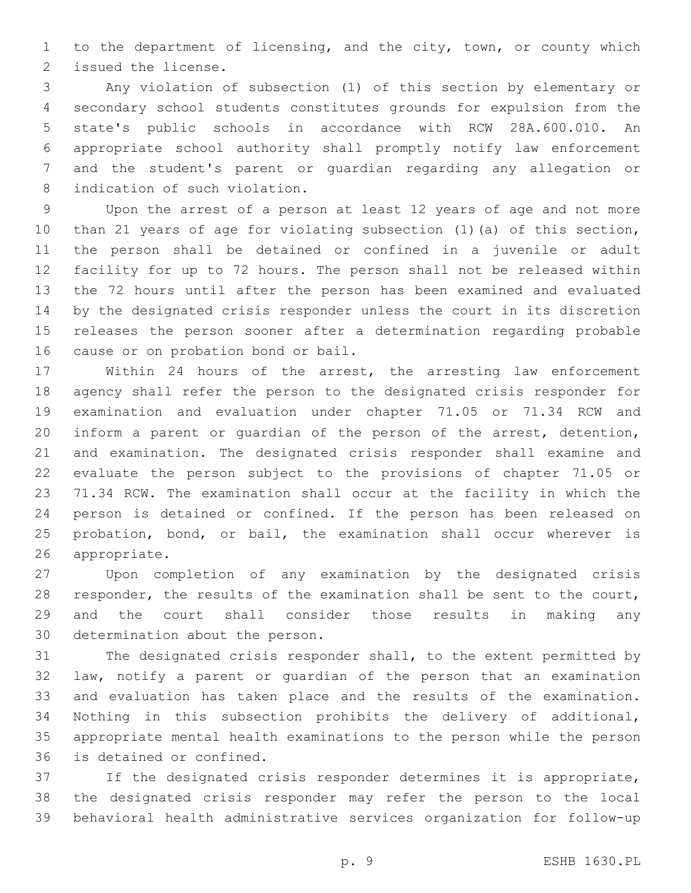to the department of licensing, and the city, town, or county which 2 issued the license.

 Any violation of subsection (1) of this section by elementary or secondary school students constitutes grounds for expulsion from the state's public schools in accordance with RCW 28A.600.010. An appropriate school authority shall promptly notify law enforcement and the student's parent or guardian regarding any allegation or 8 indication of such violation.

 Upon the arrest of a person at least 12 years of age and not more than 21 years of age for violating subsection (1)(a) of this section, the person shall be detained or confined in a juvenile or adult facility for up to 72 hours. The person shall not be released within the 72 hours until after the person has been examined and evaluated by the designated crisis responder unless the court in its discretion releases the person sooner after a determination regarding probable 16 cause or on probation bond or bail.

 Within 24 hours of the arrest, the arresting law enforcement agency shall refer the person to the designated crisis responder for examination and evaluation under chapter 71.05 or 71.34 RCW and inform a parent or guardian of the person of the arrest, detention, and examination. The designated crisis responder shall examine and evaluate the person subject to the provisions of chapter 71.05 or 71.34 RCW. The examination shall occur at the facility in which the person is detained or confined. If the person has been released on probation, bond, or bail, the examination shall occur wherever is 26 appropriate.

 Upon completion of any examination by the designated crisis responder, the results of the examination shall be sent to the court, and the court shall consider those results in making any 30 determination about the person.

 The designated crisis responder shall, to the extent permitted by law, notify a parent or guardian of the person that an examination and evaluation has taken place and the results of the examination. Nothing in this subsection prohibits the delivery of additional, appropriate mental health examinations to the person while the person 36 is detained or confined.

 If the designated crisis responder determines it is appropriate, the designated crisis responder may refer the person to the local behavioral health administrative services organization for follow-up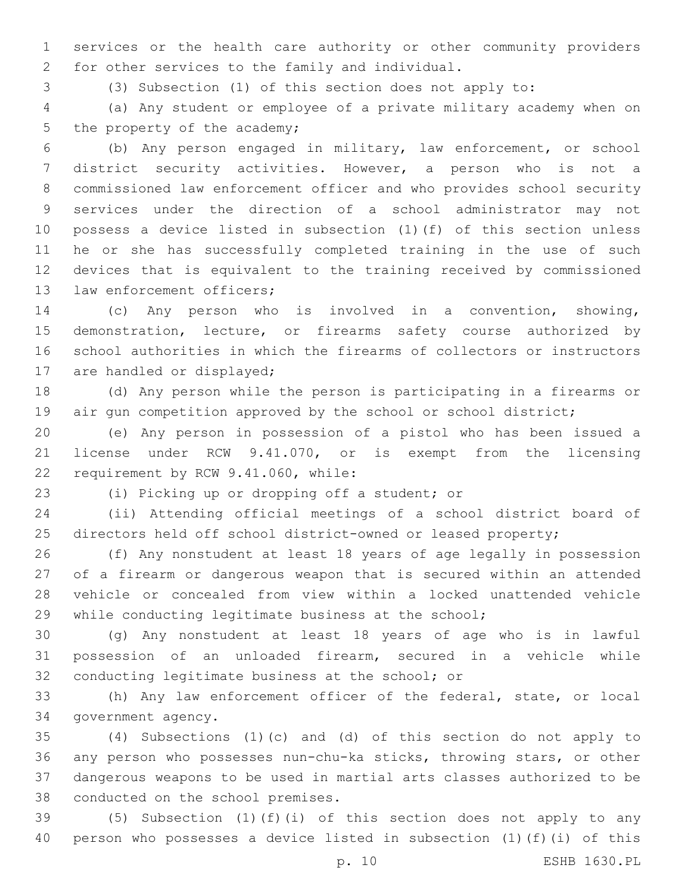services or the health care authority or other community providers 2 for other services to the family and individual.

(3) Subsection (1) of this section does not apply to:

 (a) Any student or employee of a private military academy when on 5 the property of the academy;

 (b) Any person engaged in military, law enforcement, or school district security activities. However, a person who is not a commissioned law enforcement officer and who provides school security services under the direction of a school administrator may not possess a device listed in subsection (1)(f) of this section unless he or she has successfully completed training in the use of such devices that is equivalent to the training received by commissioned 13 law enforcement officers;

 (c) Any person who is involved in a convention, showing, demonstration, lecture, or firearms safety course authorized by school authorities in which the firearms of collectors or instructors 17 are handled or displayed;

 (d) Any person while the person is participating in a firearms or 19 air gun competition approved by the school or school district;

 (e) Any person in possession of a pistol who has been issued a license under RCW 9.41.070, or is exempt from the licensing 22 requirement by RCW 9.41.060, while:

23 (i) Picking up or dropping off a student; or

 (ii) Attending official meetings of a school district board of directors held off school district-owned or leased property;

 (f) Any nonstudent at least 18 years of age legally in possession of a firearm or dangerous weapon that is secured within an attended vehicle or concealed from view within a locked unattended vehicle while conducting legitimate business at the school;

 (g) Any nonstudent at least 18 years of age who is in lawful possession of an unloaded firearm, secured in a vehicle while 32 conducting legitimate business at the school; or

 (h) Any law enforcement officer of the federal, state, or local 34 government agency.

 (4) Subsections (1)(c) and (d) of this section do not apply to any person who possesses nun-chu-ka sticks, throwing stars, or other dangerous weapons to be used in martial arts classes authorized to be 38 conducted on the school premises.

 (5) Subsection (1)(f)(i) of this section does not apply to any person who possesses a device listed in subsection (1)(f)(i) of this